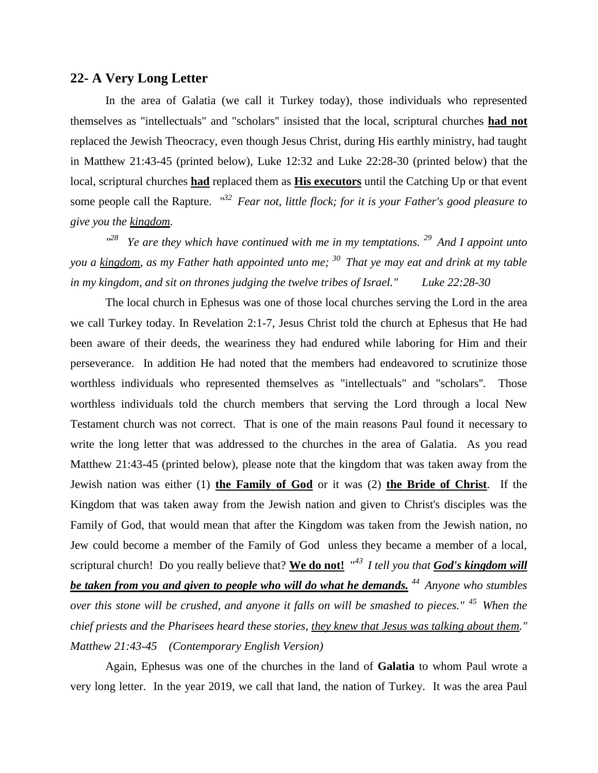## **22- A Very Long Letter**

In the area of Galatia (we call it Turkey today), those individuals who represented themselves as "intellectuals" and "scholars'' insisted that the local, scriptural churches **had not** replaced the Jewish Theocracy, even though Jesus Christ, during His earthly ministry, had taught in Matthew 21:43-45 (printed below), Luke 12:32 and Luke 22:28-30 (printed below) that the local, scriptural churches **had** replaced them as **His executors** until the Catching Up or that event some people call the Rapture. *" <sup>32</sup>Fear not, little flock; for it is your Father's good pleasure to give you the kingdom.*

*" <sup>28</sup>Ye are they which have continued with me in my temptations. <sup>29</sup>And I appoint unto you a kingdom, as my Father hath appointed unto me; <sup>30</sup>That ye may eat and drink at my table in my kingdom, and sit on thrones judging the twelve tribes of Israel." Luke 22:28-30*

The local church in Ephesus was one of those local churches serving the Lord in the area we call Turkey today. In Revelation 2:1-7, Jesus Christ told the church at Ephesus that He had been aware of their deeds, the weariness they had endured while laboring for Him and their perseverance. In addition He had noted that the members had endeavored to scrutinize those worthless individuals who represented themselves as "intellectuals" and "scholars''. Those worthless individuals told the church members that serving the Lord through a local New Testament church was not correct. That is one of the main reasons Paul found it necessary to write the long letter that was addressed to the churches in the area of Galatia. As you read Matthew 21:43-45 (printed below), please note that the kingdom that was taken away from the Jewish nation was either (1) **the Family of God** or it was (2) **the Bride of Christ**. If the Kingdom that was taken away from the Jewish nation and given to Christ's disciples was the Family of God, that would mean that after the Kingdom was taken from the Jewish nation, no Jew could become a member of the Family of God unless they became a member of a local, scriptural church! Do you really believe that? We do not! "<sup>43</sup> I tell you that God's kingdom will *be taken from you and given to people who will do what he demands. <sup>44</sup>Anyone who stumbles over this stone will be crushed, and anyone it falls on will be smashed to pieces." <sup>45</sup>When the chief priests and the Pharisees heard these stories, they knew that Jesus was talking about them." Matthew 21:43-45 (Contemporary English Version)*

Again, Ephesus was one of the churches in the land of **Galatia** to whom Paul wrote a very long letter. In the year 2019, we call that land, the nation of Turkey. It was the area Paul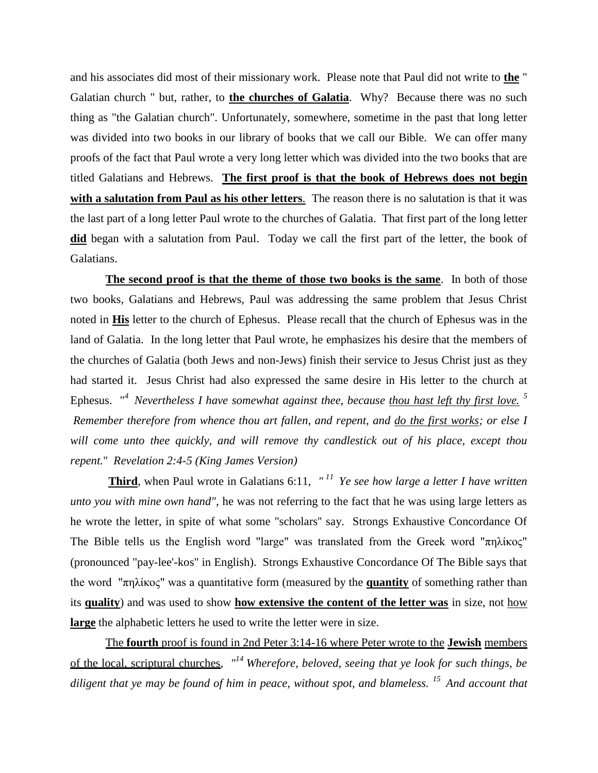and his associates did most of their missionary work. Please note that Paul did not write to **the** " Galatian church " but, rather, to **the churches of Galatia**. Why? Because there was no such thing as "the Galatian church". Unfortunately, somewhere, sometime in the past that long letter was divided into two books in our library of books that we call our Bible. We can offer many proofs of the fact that Paul wrote a very long letter which was divided into the two books that are titled Galatians and Hebrews. **The first proof is that the book of Hebrews does not begin with a salutation from Paul as his other letters***.* The reason there is no salutation is that it was the last part of a long letter Paul wrote to the churches of Galatia. That first part of the long letter **did** began with a salutation from Paul. Today we call the first part of the letter, the book of Galatians.

**The second proof is that the theme of those two books is the same**. In both of those two books, Galatians and Hebrews, Paul was addressing the same problem that Jesus Christ noted in **His** letter to the church of Ephesus. Please recall that the church of Ephesus was in the land of Galatia. In the long letter that Paul wrote, he emphasizes his desire that the members of the churches of Galatia (both Jews and non-Jews) finish their service to Jesus Christ just as they had started it. Jesus Christ had also expressed the same desire in His letter to the church at Ephesus. "*<sup>4</sup>Nevertheless I have somewhat against thee, because thou hast left thy first love. <sup>5</sup> Remember therefore from whence thou art fallen, and repent, and do the first works; or else I will come unto thee quickly, and will remove thy candlestick out of his place, except thou repent.*" *Revelation 2:4-5 (King James Version)* 

**Third**, when Paul wrote in Galatians 6:11, *" <sup>11</sup>Ye see how large a letter I have written unto you with mine own hand",* he was not referring to the fact that he was using large letters as he wrote the letter, in spite of what some "scholars'' say. Strongs Exhaustive Concordance Of The Bible tells us the English word "large" was translated from the Greek word "πηλίκος" (pronounced "pay-lee'-kos" in English). Strongs Exhaustive Concordance Of The Bible says that the word "πηλίκος" was a quantitative form (measured by the **quantity** of something rather than its **quality**) and was used to show **how extensive the content of the letter was** in size, not how **large** the alphabetic letters he used to write the letter were in size.

The **fourth** proof is found in 2nd Peter 3:14-16 where Peter wrote to the **Jewish** members of the local, scriptural churches, *" <sup>14</sup>Wherefore, beloved, seeing that ye look for such things, be diligent that ye may be found of him in peace, without spot, and blameless. <sup>15</sup>And account that*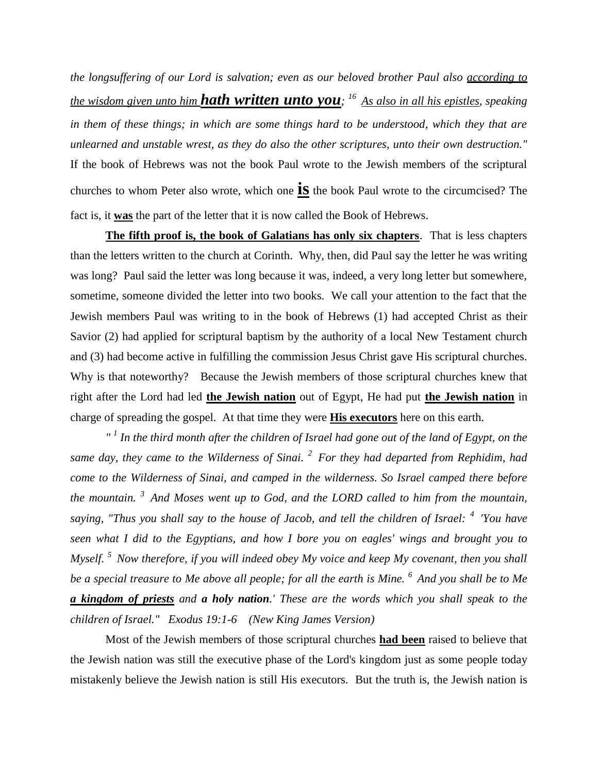*the longsuffering of our Lord is salvation; even as our beloved brother Paul also according to the wisdom given unto him hath written unto you; <sup>16</sup>As also in all his epistles, speaking in them of these things; in which are some things hard to be understood, which they that are unlearned and unstable wrest, as they do also the other scriptures, unto their own destruction."*  If the book of Hebrews was not the book Paul wrote to the Jewish members of the scriptural churches to whom Peter also wrote, which one **is** the book Paul wrote to the circumcised? The fact is, it **was** the part of the letter that it is now called the Book of Hebrews.

**The fifth proof is, the book of Galatians has only six chapters**. That is less chapters than the letters written to the church at Corinth. Why, then, did Paul say the letter he was writing was long? Paul said the letter was long because it was, indeed, a very long letter but somewhere, sometime, someone divided the letter into two books. We call your attention to the fact that the Jewish members Paul was writing to in the book of Hebrews (1) had accepted Christ as their Savior (2) had applied for scriptural baptism by the authority of a local New Testament church and (3) had become active in fulfilling the commission Jesus Christ gave His scriptural churches. Why is that noteworthy? Because the Jewish members of those scriptural churches knew that right after the Lord had led **the Jewish nation** out of Egypt, He had put **the Jewish nation** in charge of spreading the gospel. At that time they were **His executors** here on this earth.

*" 1 In the third month after the children of Israel had gone out of the land of Egypt, on the same day, they came to the Wilderness of Sinai. <sup>2</sup>For they had departed from Rephidim, had come to the Wilderness of Sinai, and camped in the wilderness. So Israel camped there before the mountain. <sup>3</sup>And Moses went up to God, and the LORD called to him from the mountain, saying, "Thus you shall say to the house of Jacob, and tell the children of Israel: <sup>4</sup>'You have seen what I did to the Egyptians, and how I bore you on eagles' wings and brought you to Myself. <sup>5</sup>Now therefore, if you will indeed obey My voice and keep My covenant, then you shall be a special treasure to Me above all people; for all the earth is Mine. <sup>6</sup>And you shall be to Me a kingdom of priests and a holy nation.' These are the words which you shall speak to the children of Israel." Exodus 19:1-6 (New King James Version)* 

Most of the Jewish members of those scriptural churches **had been** raised to believe that the Jewish nation was still the executive phase of the Lord's kingdom just as some people today mistakenly believe the Jewish nation is still His executors. But the truth is, the Jewish nation is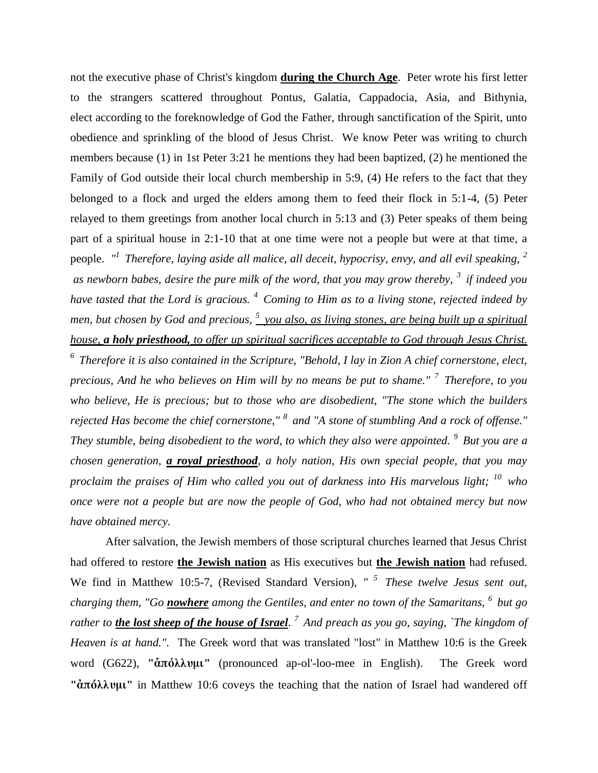not the executive phase of Christ's kingdom **during the Church Age**. Peter wrote his first letter to the strangers scattered throughout Pontus, Galatia, Cappadocia, Asia, and Bithynia, elect according to the foreknowledge of God the Father, through sanctification of the Spirit, unto obedience and sprinkling of the blood of Jesus Christ. We know Peter was writing to church members because (1) in 1st Peter 3:21 he mentions they had been baptized, (2) he mentioned the Family of God outside their local church membership in 5:9, (4) He refers to the fact that they belonged to a flock and urged the elders among them to feed their flock in 5:1-4, (5) Peter relayed to them greetings from another local church in 5:13 and (3) Peter speaks of them being part of a spiritual house in 2:1-10 that at one time were not a people but were at that time, a people. *" <sup>1</sup>Therefore, laying aside all malice, all deceit, hypocrisy, envy, and all evil speaking, <sup>2</sup> as newborn babes, desire the pure milk of the word, that you may grow thereby, <sup>3</sup>if indeed you have tasted that the Lord is gracious. <sup>4</sup>Coming to Him as to a living stone, rejected indeed by men, but chosen by God and precious, <sup>5</sup>you also, as living stones, are being built up a spiritual house, a holy priesthood, to offer up spiritual sacrifices acceptable to God through Jesus Christ. <sup>6</sup>Therefore it is also contained in the Scripture, "Behold, I lay in Zion A chief cornerstone, elect, precious, And he who believes on Him will by no means be put to shame." <sup>7</sup>Therefore, to you who believe, He is precious; but to those who are disobedient, "The stone which the builders rejected Has become the chief cornerstone," <sup>8</sup>and "A stone of stumbling And a rock of offense." They stumble, being disobedient to the word, to which they also were appointed. <sup>9</sup>But you are a chosen generation, a royal priesthood, a holy nation, His own special people, that you may proclaim the praises of Him who called you out of darkness into His marvelous light; <sup>10</sup>who once were not a people but are now the people of God, who had not obtained mercy but now have obtained mercy.* 

After salvation, the Jewish members of those scriptural churches learned that Jesus Christ had offered to restore **the Jewish nation** as His executives but **the Jewish nation** had refused. We find in Matthew 10:5-7, (Revised Standard Version), "<sup>5</sup> These twelve Jesus sent out, *charging them, "Go nowhere among the Gentiles, and enter no town of the Samaritans, <sup>6</sup>but go rather to the lost sheep of the house of Israel. <sup>7</sup>And preach as you go, saying, `The kingdom of Heaven is at hand.".* The Greek word that was translated "lost" in Matthew 10:6 is the Greek word (G622), **"ἀπόλλυμι"** (pronounced ap-ol'-loo-mee in English). The Greek word **"ἀπόλλυμι"** in Matthew 10:6 coveys the teaching that the nation of Israel had wandered off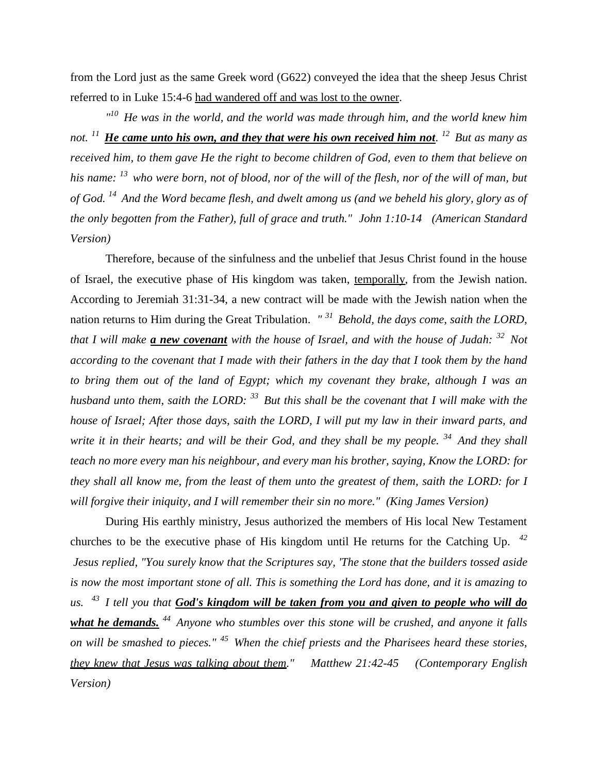from the Lord just as the same Greek word (G622) conveyed the idea that the sheep Jesus Christ referred to in Luke 15:4-6 had wandered off and was lost to the owner.

*" <sup>10</sup>He was in the world, and the world was made through him, and the world knew him not. <sup>11</sup>He came unto his own, and they that were his own received him not. <sup>12</sup>But as many as received him, to them gave He the right to become children of God, even to them that believe on his name: <sup>13</sup>who were born, not of blood, nor of the will of the flesh, nor of the will of man, but of God. <sup>14</sup>And the Word became flesh, and dwelt among us (and we beheld his glory, glory as of the only begotten from the Father), full of grace and truth." John 1:10-14 (American Standard Version)*

Therefore, because of the sinfulness and the unbelief that Jesus Christ found in the house of Israel, the executive phase of His kingdom was taken, temporally, from the Jewish nation. According to Jeremiah 31:31-34, a new contract will be made with the Jewish nation when the nation returns to Him during the Great Tribulation. *" <sup>31</sup>Behold, the days come, saith the LORD, that I will make a new covenant with the house of Israel, and with the house of Judah: <sup>32</sup>Not according to the covenant that I made with their fathers in the day that I took them by the hand to bring them out of the land of Egypt; which my covenant they brake, although I was an husband unto them, saith the LORD: <sup>33</sup>But this shall be the covenant that I will make with the house of Israel; After those days, saith the LORD, I will put my law in their inward parts, and write it in their hearts; and will be their God, and they shall be my people. <sup>34</sup>And they shall teach no more every man his neighbour, and every man his brother, saying, Know the LORD: for they shall all know me, from the least of them unto the greatest of them, saith the LORD: for I will forgive their iniquity, and I will remember their sin no more." (King James Version)*

During His earthly ministry, Jesus authorized the members of His local New Testament churches to be the executive phase of His kingdom until He returns for the Catching Up. *42 Jesus replied, "You surely know that the Scriptures say, 'The stone that the builders tossed aside is now the most important stone of all. This is something the Lord has done, and it is amazing to us. <sup>43</sup>I tell you that God's kingdom will be taken from you and given to people who will do what he demands. <sup>44</sup>Anyone who stumbles over this stone will be crushed, and anyone it falls on will be smashed to pieces." <sup>45</sup>When the chief priests and the Pharisees heard these stories, they knew that Jesus was talking about them." Matthew 21:42-45 (Contemporary English Version)*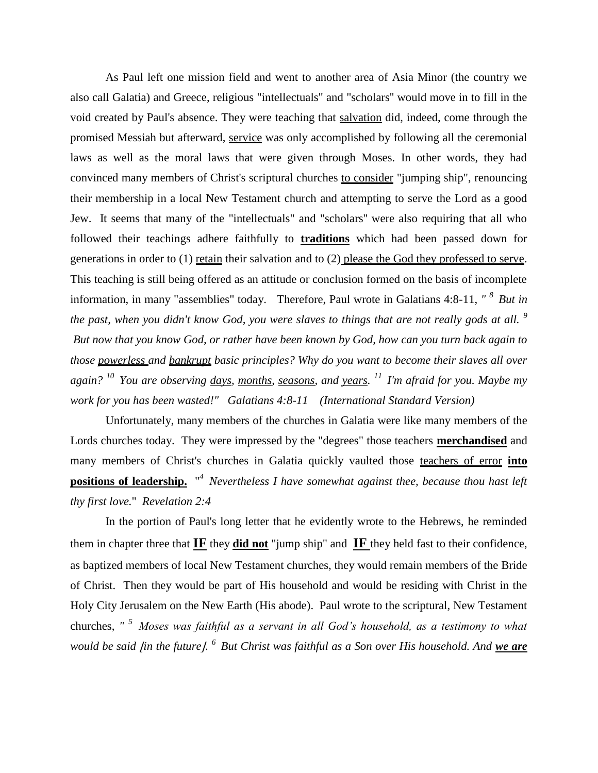As Paul left one mission field and went to another area of Asia Minor (the country we also call Galatia) and Greece, religious "intellectuals" and "scholars'' would move in to fill in the void created by Paul's absence. They were teaching that salvation did, indeed, come through the promised Messiah but afterward, service was only accomplished by following all the ceremonial laws as well as the moral laws that were given through Moses. In other words, they had convinced many members of Christ's scriptural churches to consider "jumping ship", renouncing their membership in a local New Testament church and attempting to serve the Lord as a good Jew. It seems that many of the "intellectuals" and "scholars'' were also requiring that all who followed their teachings adhere faithfully to **traditions** which had been passed down for generations in order to (1) retain their salvation and to (2) please the God they professed to serve. This teaching is still being offered as an attitude or conclusion formed on the basis of incomplete information, in many "assemblies" today. Therefore, Paul wrote in Galatians 4:8-11, *" <sup>8</sup>But in the past, when you didn't know God, you were slaves to things that are not really gods at all. <sup>9</sup> But now that you know God, or rather have been known by God, how can you turn back again to those powerless and bankrupt basic principles? Why do you want to become their slaves all over again? <sup>10</sup>You are observing days, months, seasons, and years. <sup>11</sup>I'm afraid for you. Maybe my work for you has been wasted!" Galatians 4:8-11 (International Standard Version)*

Unfortunately, many members of the churches in Galatia were like many members of the Lords churches today. They were impressed by the "degrees" those teachers **merchandised** and many members of Christ's churches in Galatia quickly vaulted those teachers of error **into positions of leadership.** " *<sup>4</sup>Nevertheless I have somewhat against thee, because thou hast left thy first love.*" *Revelation 2:4*

In the portion of Paul's long letter that he evidently wrote to the Hebrews, he reminded them in chapter three that **IF** they **did not** "jump ship" and **IF** they held fast to their confidence, as baptized members of local New Testament churches, they would remain members of the Bride of Christ. Then they would be part of His household and would be residing with Christ in the Holy City Jerusalem on the New Earth (His abode). Paul wrote to the scriptural, New Testament churches, *" <sup>5</sup>Moses was faithful as a servant in all God's household, as a testimony to what would be said [in the future].* <sup>6</sup> But Christ was faithful as a Son over His household. And <u>we are</u>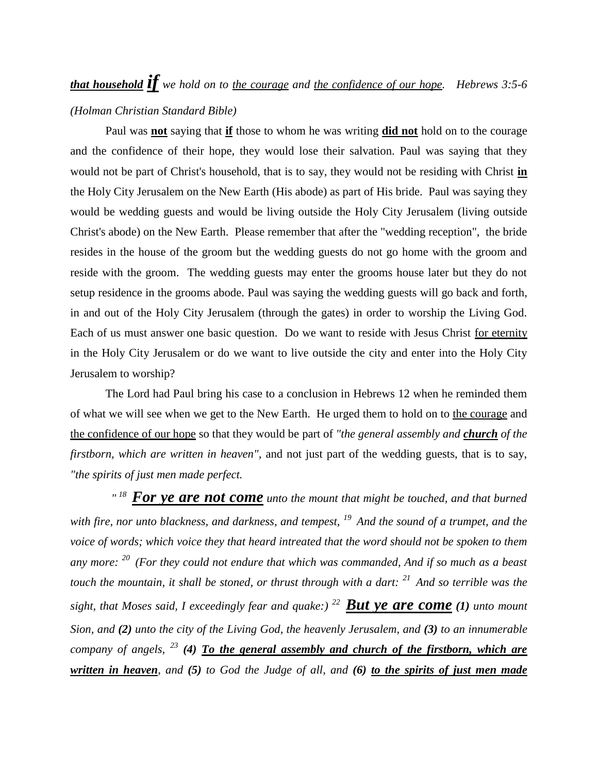## *that household if we hold on to the courage and the confidence of our hope. Hebrews 3:5-6 (Holman Christian Standard Bible)*

Paul was **not** saying that **if** those to whom he was writing **did not** hold on to the courage and the confidence of their hope, they would lose their salvation. Paul was saying that they would not be part of Christ's household, that is to say, they would not be residing with Christ **in** the Holy City Jerusalem on the New Earth (His abode) as part of His bride. Paul was saying they would be wedding guests and would be living outside the Holy City Jerusalem (living outside Christ's abode) on the New Earth. Please remember that after the "wedding reception", the bride resides in the house of the groom but the wedding guests do not go home with the groom and reside with the groom. The wedding guests may enter the grooms house later but they do not setup residence in the grooms abode. Paul was saying the wedding guests will go back and forth, in and out of the Holy City Jerusalem (through the gates) in order to worship the Living God. Each of us must answer one basic question. Do we want to reside with Jesus Christ for eternity in the Holy City Jerusalem or do we want to live outside the city and enter into the Holy City Jerusalem to worship?

The Lord had Paul bring his case to a conclusion in Hebrews 12 when he reminded them of what we will see when we get to the New Earth. He urged them to hold on to the courage and the confidence of our hope so that they would be part of *"the general assembly and church of the firstborn, which are written in heaven",* and not just part of the wedding guests, that is to say, *"the spirits of just men made perfect.*

<sup>*"*<sup>18</sup> For ye are not come *unto the mount that might be touched, and that burned*</sup> *with fire, nor unto blackness, and darkness, and tempest, <sup>19</sup>And the sound of a trumpet, and the voice of words; which voice they that heard intreated that the word should not be spoken to them any more: <sup>20</sup>(For they could not endure that which was commanded, And if so much as a beast touch the mountain, it shall be stoned, or thrust through with a dart: <sup>21</sup>And so terrible was the sight, that Moses said, I exceedingly fear and quake:) <sup>22</sup>But ye are come (1) unto mount Sion, and (2) unto the city of the Living God, the heavenly Jerusalem, and (3) to an innumerable company of angels, <sup>23</sup> (4) To the general assembly and church of the firstborn, which are written in heaven, and (5) to God the Judge of all, and (6) to the spirits of just men made*